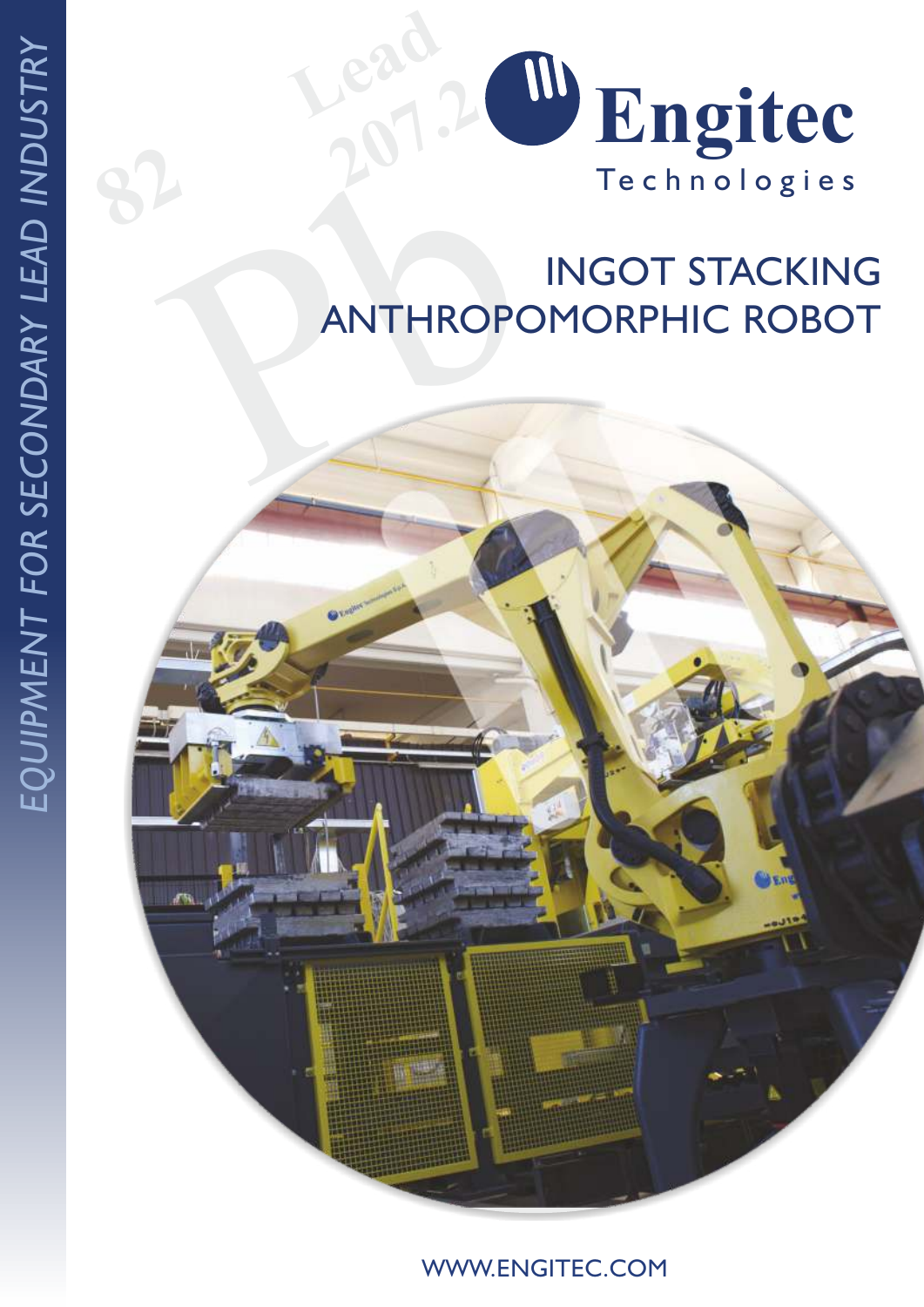

# PANTHROPOI INGOT STACKING ANTHROPOMORPHIC ROBOT

*USTRY*